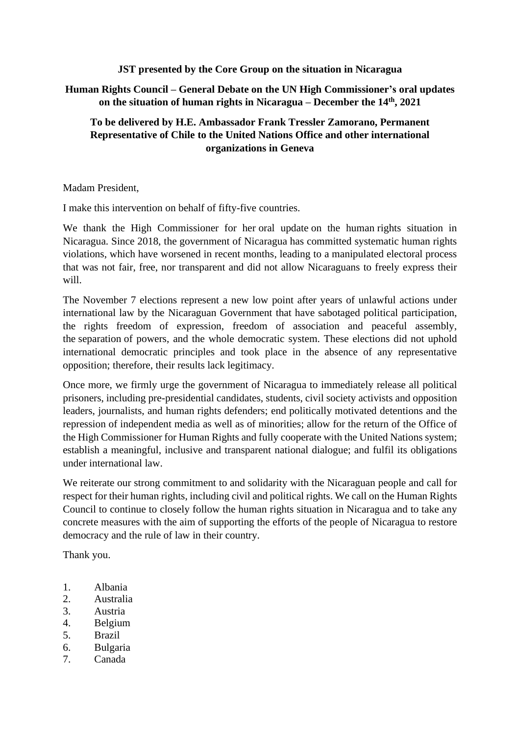## **JST presented by the Core Group on the situation in Nicaragua**

## **Human Rights Council – General Debate on the UN High Commissioner's oral updates on the situation of human rights in Nicaragua – December the 14th , 2021**

## **To be delivered by H.E. Ambassador Frank Tressler Zamorano, Permanent Representative of Chile to the United Nations Office and other international organizations in Geneva**

Madam President,

I make this intervention on behalf of fifty-five countries.

We thank the High Commissioner for her oral update on the human rights situation in Nicaragua. Since 2018, the government of Nicaragua has committed systematic human rights violations, which have worsened in recent months, leading to a manipulated electoral process that was not fair, free, nor transparent and did not allow Nicaraguans to freely express their will.

The November 7 elections represent a new low point after years of unlawful actions under international law by the Nicaraguan Government that have sabotaged political participation, the rights freedom of expression, freedom of association and peaceful assembly, the separation of powers, and the whole democratic system. These elections did not uphold international democratic principles and took place in the absence of any representative opposition; therefore, their results lack legitimacy.

Once more, we firmly urge the government of Nicaragua to immediately release all political prisoners, including pre-presidential candidates, students, civil society activists and opposition leaders, journalists, and human rights defenders; end politically motivated detentions and the repression of independent media as well as of minorities; allow for the return of the Office of the High Commissioner for Human Rights and fully cooperate with the United Nations system; establish a meaningful, inclusive and transparent national dialogue; and fulfil its obligations under international law.

We reiterate our strong commitment to and solidarity with the Nicaraguan people and call for respect for their human rights, including civil and political rights. We call on the Human Rights Council to continue to closely follow the human rights situation in Nicaragua and to take any concrete measures with the aim of supporting the efforts of the people of Nicaragua to restore democracy and the rule of law in their country.

Thank you.

- 1. Albania
- 2. Australia
- 3. Austria
- 4. Belgium
- 5. Brazil
- 6. Bulgaria
- 7. Canada